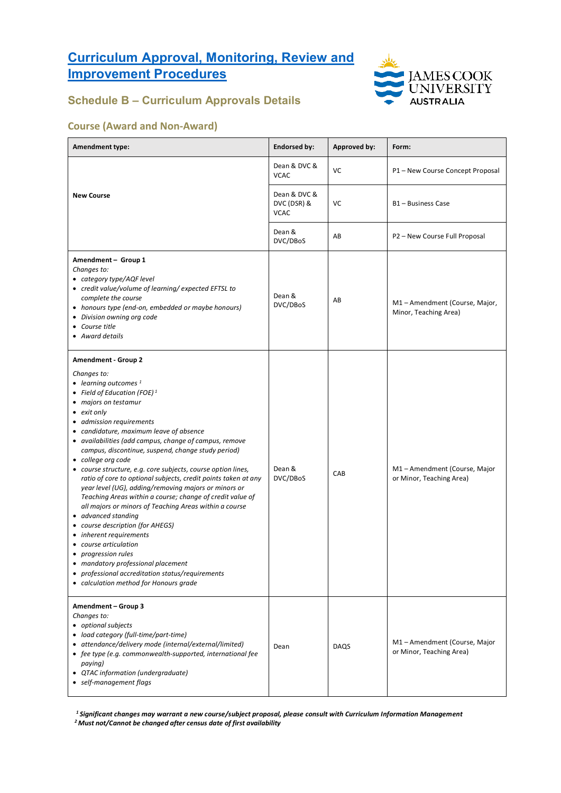

### **Schedule B – Curriculum Approvals Details**

#### **Course (Award and Non-Award)**

| <b>Amendment type:</b>                                                                                                                                                                                                                                                                                                                                                                                                                                                                                                                                                                                                                                                                                                                                                                                                                                                                                                                                       | <b>Endorsed by:</b>                        | <b>Approved by:</b> | Form:                                                   |
|--------------------------------------------------------------------------------------------------------------------------------------------------------------------------------------------------------------------------------------------------------------------------------------------------------------------------------------------------------------------------------------------------------------------------------------------------------------------------------------------------------------------------------------------------------------------------------------------------------------------------------------------------------------------------------------------------------------------------------------------------------------------------------------------------------------------------------------------------------------------------------------------------------------------------------------------------------------|--------------------------------------------|---------------------|---------------------------------------------------------|
|                                                                                                                                                                                                                                                                                                                                                                                                                                                                                                                                                                                                                                                                                                                                                                                                                                                                                                                                                              | Dean & DVC &<br><b>VCAC</b>                | VC                  | P1 - New Course Concept Proposal                        |
| <b>New Course</b>                                                                                                                                                                                                                                                                                                                                                                                                                                                                                                                                                                                                                                                                                                                                                                                                                                                                                                                                            | Dean & DVC &<br>DVC (DSR) &<br><b>VCAC</b> | VC                  | B1 - Business Case                                      |
|                                                                                                                                                                                                                                                                                                                                                                                                                                                                                                                                                                                                                                                                                                                                                                                                                                                                                                                                                              | Dean &<br>DVC/DBoS                         | AB                  | P2 - New Course Full Proposal                           |
| Amendment - Group 1<br>Changes to:<br>• category type/AQF level<br>• credit value/volume of learning/ expected EFTSL to<br>complete the course<br>• honours type (end-on, embedded or maybe honours)<br>• Division owning org code<br>• Course title<br>• Award details                                                                                                                                                                                                                                                                                                                                                                                                                                                                                                                                                                                                                                                                                      | Dean &<br>DVC/DBoS                         | AB                  | M1-Amendment (Course, Major,<br>Minor, Teaching Area)   |
| <b>Amendment - Group 2</b><br>Changes to:<br>• learning outcomes $1$<br>• Field of Education (FOE) <sup>1</sup><br>• majors on testamur<br>• exit only<br>• admission requirements<br>• candidature, maximum leave of absence<br>• availabilities (add campus, change of campus, remove<br>campus, discontinue, suspend, change study period)<br>• college org code<br>• course structure, e.g. core subjects, course option lines,<br>ratio of core to optional subjects, credit points taken at any<br>year level (UG), adding/removing majors or minors or<br>Teaching Areas within a course; change of credit value of<br>all majors or minors of Teaching Areas within a course<br>• advanced standing<br>• course description (for AHEGS)<br>• inherent requirements<br>course articulation<br>• progression rules<br>• mandatory professional placement<br>• professional accreditation status/requirements<br>• calculation method for Honours grade | Dean &<br>DVC/DBoS                         | CAB                 | M1-Amendment (Course, Major<br>or Minor, Teaching Area) |
| Amendment - Group 3<br>Changes to:<br>• optional subjects<br>• load category (full-time/part-time)<br>• attendance/delivery mode (internal/external/limited)<br>• fee type (e.g. commonwealth-supported, international fee<br>paying)<br>• QTAC information (undergraduate)<br>• self-management flags                                                                                                                                                                                                                                                                                                                                                                                                                                                                                                                                                                                                                                                       | Dean                                       | DAQS                | M1-Amendment (Course, Major<br>or Minor, Teaching Area) |

*1 Significant changes may warrant a new course/subject proposal, please consult with Curriculum Information Management*

*2 Must not/Cannot be changed after census date of first availability*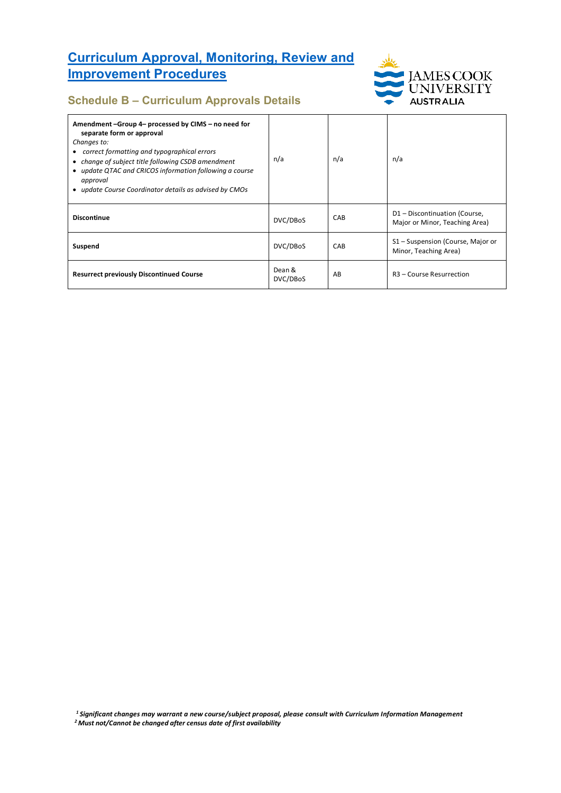

### **Schedule B – Curriculum Approvals Details**

| Amendment-Group 4- processed by CIMS - no need for<br>separate form or approval<br>Changes to:<br>• correct formatting and typographical errors<br>• change of subject title following CSDB amendment<br>• update QTAC and CRICOS information following a course<br>approval<br>• update Course Coordinator details as advised by CMOs | n/a                | n/a | n/a                                                             |
|----------------------------------------------------------------------------------------------------------------------------------------------------------------------------------------------------------------------------------------------------------------------------------------------------------------------------------------|--------------------|-----|-----------------------------------------------------------------|
| <b>Discontinue</b>                                                                                                                                                                                                                                                                                                                     | DVC/DBoS           | CAB | D1 - Discontinuation (Course,<br>Major or Minor, Teaching Area) |
| Suspend                                                                                                                                                                                                                                                                                                                                | DVC/DBoS           | CAB | S1 - Suspension (Course, Major or<br>Minor, Teaching Area)      |
| <b>Resurrect previously Discontinued Course</b>                                                                                                                                                                                                                                                                                        | Dean &<br>DVC/DBoS | AB  | R <sub>3</sub> - Course Resurrection                            |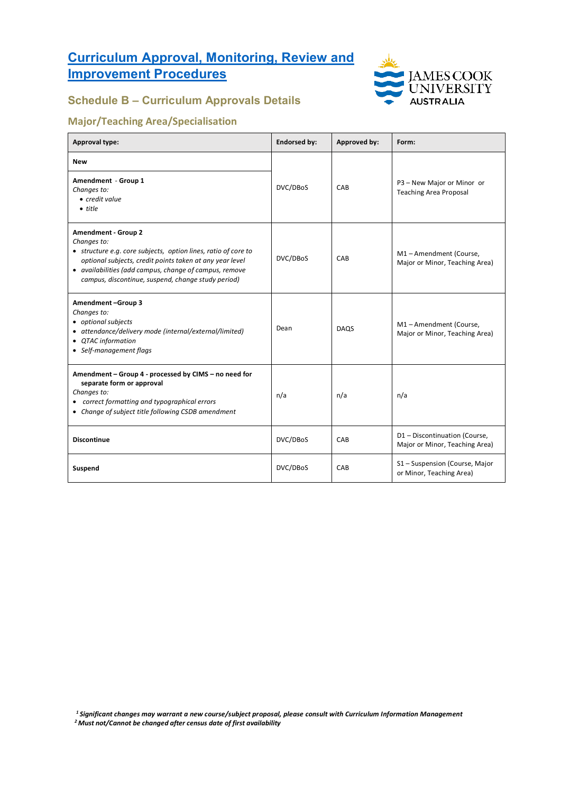

## **Schedule B – Curriculum Approvals Details**

### **Major/Teaching Area/Specialisation**

| <b>Approval type:</b>                                                                                                                                                                                                                                                                   | <b>Endorsed by:</b><br>Approved by: |             | Form:                                                           |
|-----------------------------------------------------------------------------------------------------------------------------------------------------------------------------------------------------------------------------------------------------------------------------------------|-------------------------------------|-------------|-----------------------------------------------------------------|
| <b>New</b><br>Amendment - Group 1<br>Changes to:<br>• credit value<br>$\bullet$ title                                                                                                                                                                                                   | DVC/DBoS                            | CAB         | P3 - New Major or Minor or<br><b>Teaching Area Proposal</b>     |
| <b>Amendment - Group 2</b><br>Changes to:<br>• structure e.g. core subjects, option lines, ratio of core to<br>optional subjects, credit points taken at any year level<br>• availabilities (add campus, change of campus, remove<br>campus, discontinue, suspend, change study period) | DVC/DBoS                            | CAB         | M1-Amendment (Course,<br>Major or Minor, Teaching Area)         |
| Amendment-Group 3<br>Changes to:<br>• optional subjects<br>• attendance/delivery mode (internal/external/limited)<br>• QTAC information<br>• Self-management flags                                                                                                                      | Dean                                | <b>DAQS</b> | M1-Amendment (Course,<br>Major or Minor, Teaching Area)         |
| Amendment - Group 4 - processed by CIMS - no need for<br>separate form or approval<br>Changes to:<br>• correct formatting and typographical errors<br>• Change of subject title following CSDB amendment                                                                                | n/a                                 | n/a         | n/a                                                             |
| <b>Discontinue</b>                                                                                                                                                                                                                                                                      | DVC/DBoS                            | CAB         | D1 - Discontinuation (Course,<br>Major or Minor, Teaching Area) |
| Suspend                                                                                                                                                                                                                                                                                 | DVC/DBoS                            | CAB         | S1 - Suspension (Course, Major<br>or Minor, Teaching Area)      |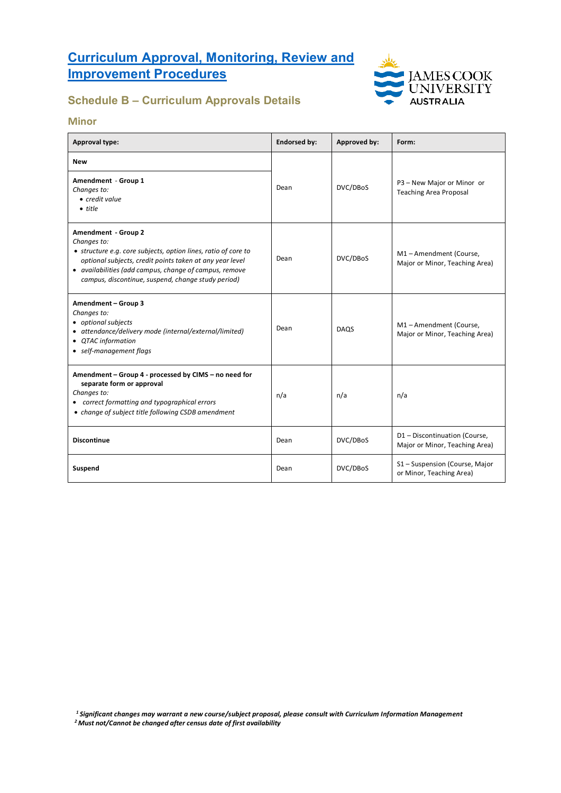

## **Schedule B – Curriculum Approvals Details**

#### **Minor**

| Approval type:                                                                                                                                                                                                                                                                   | <b>Endorsed by:</b> | Approved by: | Form:                                                           |
|----------------------------------------------------------------------------------------------------------------------------------------------------------------------------------------------------------------------------------------------------------------------------------|---------------------|--------------|-----------------------------------------------------------------|
| New<br>Amendment - Group 1<br>Changes to:<br>• credit value<br>$\bullet$ title                                                                                                                                                                                                   | Dean                | DVC/DBoS     | P3 - New Major or Minor or<br><b>Teaching Area Proposal</b>     |
| Amendment - Group 2<br>Changes to:<br>• structure e.g. core subjects, option lines, ratio of core to<br>optional subjects, credit points taken at any year level<br>• availabilities (add campus, change of campus, remove<br>campus, discontinue, suspend, change study period) | Dean                | DVC/DBoS     | M1-Amendment (Course,<br>Major or Minor, Teaching Area)         |
| Amendment - Group 3<br>Changes to:<br>• optional subjects<br>• attendance/delivery mode (internal/external/limited)<br>• QTAC information<br>• self-management flags                                                                                                             | Dean                | <b>DAQS</b>  | M1-Amendment (Course,<br>Major or Minor, Teaching Area)         |
| Amendment - Group 4 - processed by CIMS - no need for<br>separate form or approval<br>Changes to:<br>• correct formatting and typographical errors<br>• change of subject title following CSDB amendment                                                                         | n/a                 | n/a          | n/a                                                             |
| <b>Discontinue</b>                                                                                                                                                                                                                                                               | Dean                | DVC/DBoS     | D1 - Discontinuation (Course,<br>Major or Minor, Teaching Area) |
| Suspend                                                                                                                                                                                                                                                                          | Dean                | DVC/DBoS     | S1 - Suspension (Course, Major<br>or Minor, Teaching Area)      |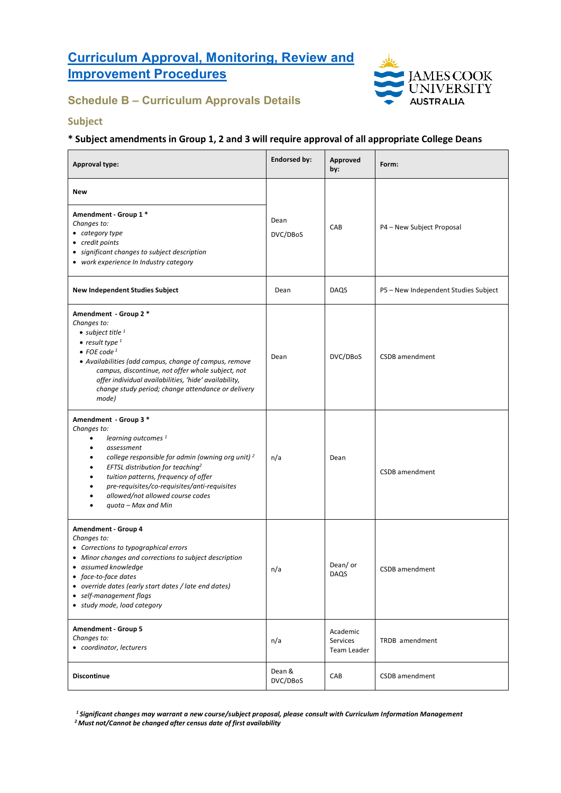

## **Schedule B – Curriculum Approvals Details**

#### **Subject**

#### **\* Subject amendments in Group 1, 2 and 3 will require approval of all appropriate College Deans**

| <b>Approval type:</b>                                                                                                                                                                                                                                                                                                                                                | <b>Endorsed by:</b> | Approved<br>by:                     | Form:                                |
|----------------------------------------------------------------------------------------------------------------------------------------------------------------------------------------------------------------------------------------------------------------------------------------------------------------------------------------------------------------------|---------------------|-------------------------------------|--------------------------------------|
| New<br>Amendment - Group 1 *<br>Changes to:<br>• category type<br>• credit points<br>• significant changes to subject description<br>• work experience In Industry category                                                                                                                                                                                          | Dean<br>DVC/DBoS    | CAB                                 | P4 - New Subject Proposal            |
| <b>New Independent Studies Subject</b>                                                                                                                                                                                                                                                                                                                               | Dean                | DAQS                                | P5 - New Independent Studies Subject |
| Amendment - Group 2*<br>Changes to:<br>• subject title $1$<br>$\bullet$ result type $1$<br>$\bullet$ FOE code <sup>1</sup><br>• Availabilities (add campus, change of campus, remove<br>campus, discontinue, not offer whole subject, not<br>offer individual availabilities, 'hide' availability,<br>change study period; change attendance or delivery<br>mode)    | Dean                | DVC/DBoS                            | CSDB amendment                       |
| Amendment - Group 3 *<br>Changes to:<br>learning outcomes <sup>1</sup><br>$\bullet$<br>assessment<br>college responsible for admin (owning org unit) <sup>2</sup><br>EFTSL distribution for teaching <sup>2</sup><br>tuition patterns, frequency of offer<br>pre-requisites/co-requisites/anti-requisites<br>allowed/not allowed course codes<br>quota - Max and Min | n/a                 | Dean                                | CSDB amendment                       |
| Amendment - Group 4<br>Changes to:<br>• Corrections to typographical errors<br>• Minor changes and corrections to subject description<br>• assumed knowledge<br>• face-to-face dates<br>• override dates (early start dates / late end dates)<br>• self-management flags<br>• study mode, load category                                                              | n/a                 | Dean/ or<br>DAQS                    | CSDB amendment                       |
| Amendment - Group 5<br>Changes to:<br>• coordinator, lecturers                                                                                                                                                                                                                                                                                                       | n/a                 | Academic<br>Services<br>Team Leader | TRDB amendment                       |
| <b>Discontinue</b>                                                                                                                                                                                                                                                                                                                                                   | Dean &<br>DVC/DBoS  | CAB                                 | CSDB amendment                       |

*1 Significant changes may warrant a new course/subject proposal, please consult with Curriculum Information Management*

*2 Must not/Cannot be changed after census date of first availability*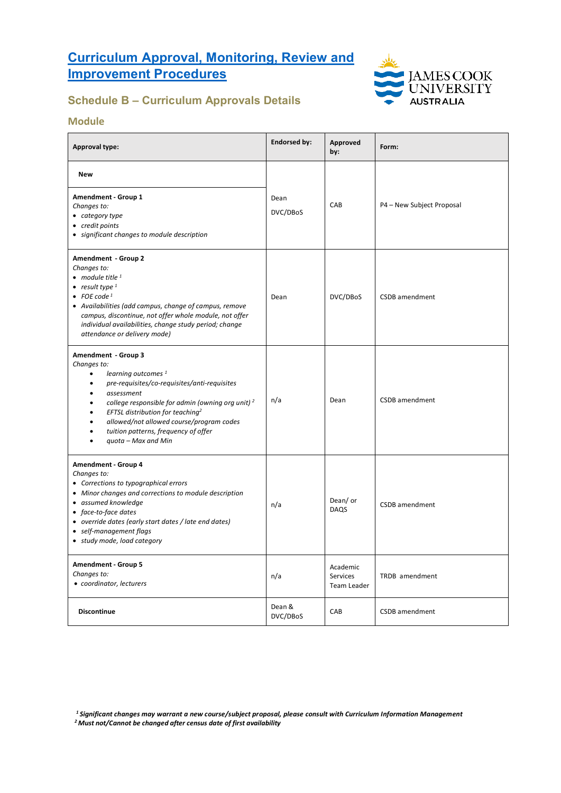

## **Schedule B – Curriculum Approvals Details**

#### **Module**

| <b>Approval type:</b>                                                                                                                                                                                                                                                                                                                                                                                                                 | <b>Endorsed by:</b> | Approved<br>by:                     | Form:                     |
|---------------------------------------------------------------------------------------------------------------------------------------------------------------------------------------------------------------------------------------------------------------------------------------------------------------------------------------------------------------------------------------------------------------------------------------|---------------------|-------------------------------------|---------------------------|
| <b>New</b><br>Amendment - Group 1<br>Changes to:<br>• category type<br>• credit points<br>• significant changes to module description                                                                                                                                                                                                                                                                                                 | Dean<br>DVC/DBoS    | CAB                                 | P4 - New Subject Proposal |
| Amendment - Group 2<br>Changes to:<br>• module title $1$<br>• result type $1$<br>• FOE code <sup>1</sup><br>• Availabilities (add campus, change of campus, remove<br>campus, discontinue, not offer whole module, not offer<br>individual availabilities, change study period; change<br>attendance or delivery mode)                                                                                                                | Dean                | DVC/DBoS                            | CSDB amendment            |
| Amendment - Group 3<br>Changes to:<br>learning outcomes <sup>1</sup><br>٠<br>pre-requisites/co-requisites/anti-requisites<br>$\bullet$<br>assessment<br>$\bullet$<br>college responsible for admin (owning org unit) <sup>2</sup><br>$\bullet$<br>EFTSL distribution for teaching <sup>2</sup><br>٠<br>allowed/not allowed course/program codes<br>$\bullet$<br>tuition patterns, frequency of offer<br>٠<br>quota - Max and Min<br>٠ | n/a                 | Dean                                | CSDB amendment            |
| Amendment - Group 4<br>Changes to:<br>• Corrections to typographical errors<br>• Minor changes and corrections to module description<br>• assumed knowledge<br>• face-to-face dates<br>• override dates (early start dates / late end dates)<br>• self-management flags<br>• study mode, load category                                                                                                                                | n/a                 | Dean/ or<br>DAQS                    | <b>CSDB</b> amendment     |
| Amendment - Group 5<br>Changes to:<br>• coordinator, lecturers                                                                                                                                                                                                                                                                                                                                                                        | n/a                 | Academic<br>Services<br>Team Leader | TRDB amendment            |
| <b>Discontinue</b>                                                                                                                                                                                                                                                                                                                                                                                                                    | Dean &<br>DVC/DBoS  | CAB                                 | CSDB amendment            |

*<sup>1</sup> Significant changes may warrant a new course/subject proposal, please consult with Curriculum Information Management*

*<sup>2</sup> Must not/Cannot be changed after census date of first availability*